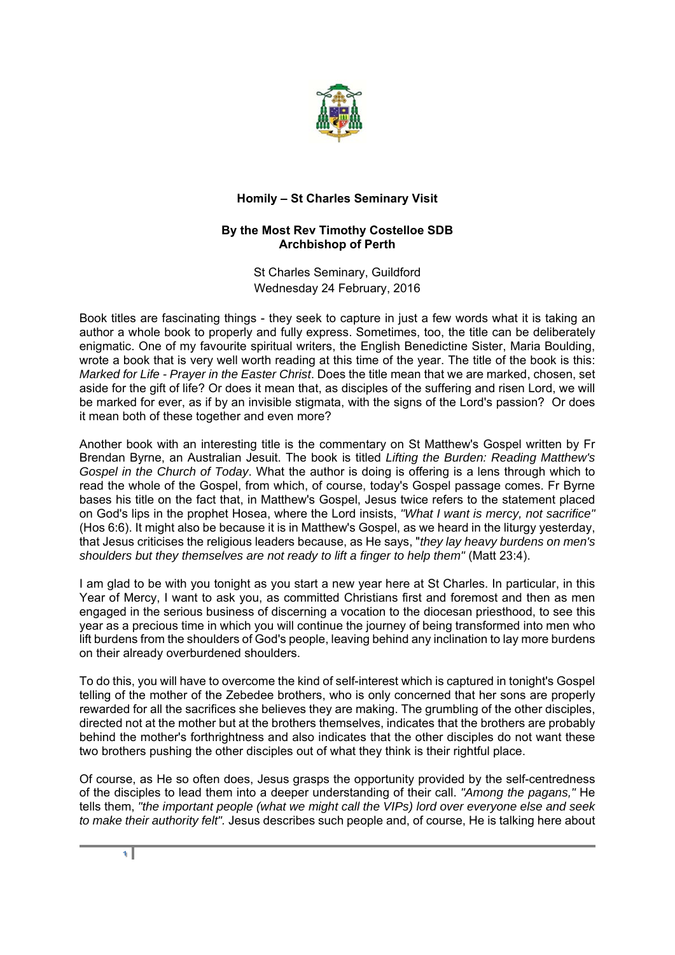

## **Homily – St Charles Seminary Visit**

## **By the Most Rev Timothy Costelloe SDB Archbishop of Perth**

St Charles Seminary, Guildford Wednesday 24 February, 2016

Book titles are fascinating things - they seek to capture in just a few words what it is taking an author a whole book to properly and fully express. Sometimes, too, the title can be deliberately enigmatic. One of my favourite spiritual writers, the English Benedictine Sister, Maria Boulding, wrote a book that is very well worth reading at this time of the year. The title of the book is this: *Marked for Life - Prayer in the Easter Christ*. Does the title mean that we are marked, chosen, set aside for the gift of life? Or does it mean that, as disciples of the suffering and risen Lord, we will be marked for ever, as if by an invisible stigmata, with the signs of the Lord's passion? Or does it mean both of these together and even more?

Another book with an interesting title is the commentary on St Matthew's Gospel written by Fr Brendan Byrne, an Australian Jesuit. The book is titled *Lifting the Burden: Reading Matthew's Gospel in the Church of Today*. What the author is doing is offering is a lens through which to read the whole of the Gospel, from which, of course, today's Gospel passage comes. Fr Byrne bases his title on the fact that, in Matthew's Gospel, Jesus twice refers to the statement placed on God's lips in the prophet Hosea, where the Lord insists, *"What I want is mercy, not sacrifice"* (Hos 6:6). It might also be because it is in Matthew's Gospel, as we heard in the liturgy yesterday, that Jesus criticises the religious leaders because, as He says, "*they lay heavy burdens on men's shoulders but they themselves are not ready to lift a finger to help them"* (Matt 23:4).

I am glad to be with you tonight as you start a new year here at St Charles. In particular, in this Year of Mercy, I want to ask you, as committed Christians first and foremost and then as men engaged in the serious business of discerning a vocation to the diocesan priesthood, to see this year as a precious time in which you will continue the journey of being transformed into men who lift burdens from the shoulders of God's people, leaving behind any inclination to lay more burdens on their already overburdened shoulders.

To do this, you will have to overcome the kind of self-interest which is captured in tonight's Gospel telling of the mother of the Zebedee brothers, who is only concerned that her sons are properly rewarded for all the sacrifices she believes they are making. The grumbling of the other disciples, directed not at the mother but at the brothers themselves, indicates that the brothers are probably behind the mother's forthrightness and also indicates that the other disciples do not want these two brothers pushing the other disciples out of what they think is their rightful place.

Of course, as He so often does, Jesus grasps the opportunity provided by the self-centredness of the disciples to lead them into a deeper understanding of their call. *"Among the pagans,"* He tells them, *"the important people (what we might call the VIPs) lord over everyone else and seek to make their authority felt".* Jesus describes such people and, of course, He is talking here about